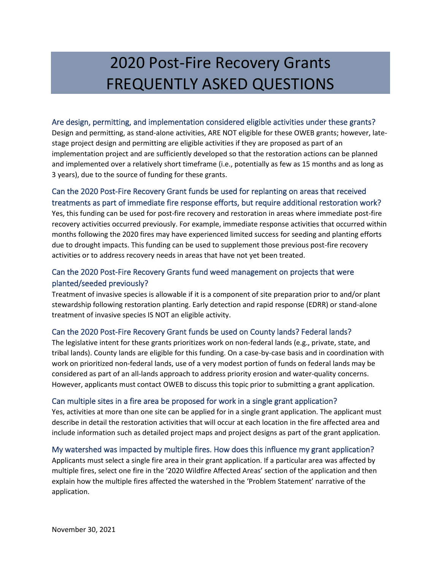# 2020 Post-Fire Recovery Grants FREQUENTLY ASKED QUESTIONS

#### Are design, permitting, and implementation considered eligible activities under these grants?

Design and permitting, as stand-alone activities, ARE NOT eligible for these OWEB grants; however, latestage project design and permitting are eligible activities if they are proposed as part of an implementation project and are sufficiently developed so that the restoration actions can be planned and implemented over a relatively short timeframe (i.e., potentially as few as 15 months and as long as 3 years), due to the source of funding for these grants.

## Can the 2020 Post-Fire Recovery Grant funds be used for replanting on areas that received treatments as part of immediate fire response efforts, but require additional restoration work?

Yes, this funding can be used for post-fire recovery and restoration in areas where immediate post-fire recovery activities occurred previously. For example, immediate response activities that occurred within months following the 2020 fires may have experienced limited success for seeding and planting efforts due to drought impacts. This funding can be used to supplement those previous post-fire recovery activities or to address recovery needs in areas that have not yet been treated.

## Can the 2020 Post-Fire Recovery Grants fund weed management on projects that were planted/seeded previously?

Treatment of invasive species is allowable if it is a component of site preparation prior to and/or plant stewardship following restoration planting. Early detection and rapid response (EDRR) or stand-alone treatment of invasive species IS NOT an eligible activity.

### Can the 2020 Post-Fire Recovery Grant funds be used on County lands? Federal lands?

The legislative intent for these grants prioritizes work on non-federal lands (e.g., private, state, and tribal lands). County lands are eligible for this funding. On a case-by-case basis and in coordination with work on prioritized non-federal lands, use of a very modest portion of funds on federal lands may be considered as part of an all-lands approach to address priority erosion and water-quality concerns. However, applicants must contact OWEB to discuss this topic prior to submitting a grant application.

### Can multiple sites in a fire area be proposed for work in a single grant application?

Yes, activities at more than one site can be applied for in a single grant application. The applicant must describe in detail the restoration activities that will occur at each location in the fire affected area and include information such as detailed project maps and project designs as part of the grant application.

### My watershed was impacted by multiple fires. How does this influence my grant application?

Applicants must select a single fire area in their grant application. If a particular area was affected by multiple fires, select one fire in the '2020 Wildfire Affected Areas' section of the application and then explain how the multiple fires affected the watershed in the 'Problem Statement' narrative of the application.